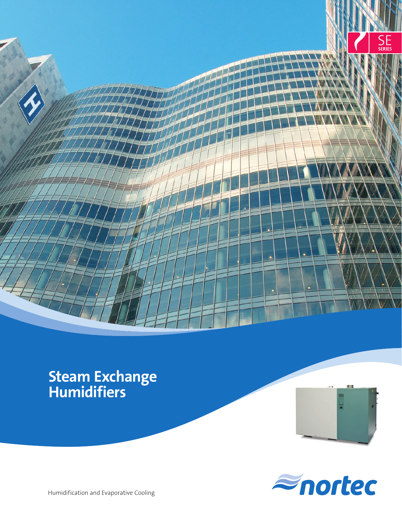

### **Steam Exchange Humidifiers**





Humidification and Evaporative Cooling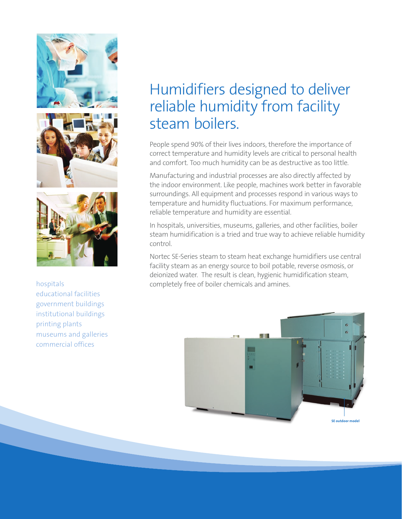





educational facilities government buildings institutional buildings printing plants museums and galleries commercial offices

## Humidifiers designed to deliver reliable humidity from facility steam boilers.

People spend 90% of their lives indoors, therefore the importance of correct temperature and humidity levels are critical to personal health and comfort. Too much humidity can be as destructive as too little.

Manufacturing and industrial processes are also directly affected by the indoor environment. Like people, machines work better in favorable surroundings. All equipment and processes respond in various ways to temperature and humidity fluctuations. For maximum performance, reliable temperature and humidity are essential.

In hospitals, universities, museums, galleries, and other facilities, boiler steam humidification is a tried and true way to achieve reliable humidity control.

Nortec SE-Series steam to steam heat exchange humidifiers use central facility steam as an energy source to boil potable, reverse osmosis, or deionized water. The result is clean, hygienic humidification steam, hospitals hospitals completely free of boiler chemicals and amines.

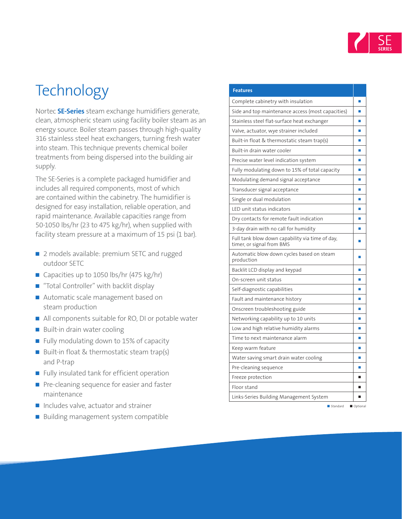

# **Technology**

Nortec **SE-Series** steam exchange humidifiers generate, clean, atmospheric steam using facility boiler steam as an energy source. Boiler steam passes through high-quality 316 stainless steel heat exchangers, turning fresh water into steam. This technique prevents chemical boiler treatments from being dispersed into the building air supply.

The SE-Series is a complete packaged humidifier and includes all required components, most of which are contained within the cabinetry. The humidifier is designed for easy installation, reliable operation, and rapid maintenance. Available capacities range from 50-1050 lbs/hr (23 to 475 kg/hr), when supplied with facility steam pressure at a maximum of 15 psi (1 bar).

- 2 models available: premium SETC and rugged outdoor SETC
- Capacities up to 1050 lbs/hr (475 kg/hr)
- "Total Controller" with backlit display
- Automatic scale management based on steam production
- All components suitable for RO, DI or potable water
- Built-in drain water cooling
- Fully modulating down to 15% of capacity
- Built-in float & thermostatic steam trap(s) and P-trap
- Fully insulated tank for efficient operation
- Pre-cleaning sequence for easier and faster maintenance
- Includes valve, actuator and strainer
- Building management system compatible

| <b>Features</b>                                                              |   |
|------------------------------------------------------------------------------|---|
| Complete cabinetry with insulation                                           | П |
| Side and top maintenance access (most capacities)                            |   |
| Stainless steel flat-surface heat exchanger                                  |   |
| Valve, actuator, wye strainer included                                       |   |
| Built-in float & thermostatic steam trap(s)                                  |   |
| Built-in drain water cooler                                                  |   |
| Precise water level indication system                                        |   |
| Fully modulating down to 15% of total capacity                               |   |
| Modulating demand signal acceptance                                          |   |
| Transducer signal acceptance                                                 |   |
| Single or dual modulation                                                    |   |
| LED unit status indicators                                                   |   |
| Dry contacts for remote fault indication                                     |   |
| 3-day drain with no call for humidity                                        |   |
| Full tank blow down capability via time of day,<br>timer, or signal from BMS |   |
| Automatic blow down cycles based on steam<br>production                      |   |
| Backlit LCD display and keypad                                               |   |
| On-screen unit status                                                        |   |
| Self-diagnostic capabilities                                                 |   |
| Fault and maintenance history                                                |   |
| Onscreen troubleshooting guide                                               |   |
| Networking capability up to 10 units                                         |   |
| Low and high relative humidity alarms                                        | ■ |
| Time to next maintenance alarm                                               |   |
| Keep warm feature                                                            |   |
| Water saving smart drain water cooling                                       |   |
| Pre-cleaning sequence                                                        |   |
| Freeze protection                                                            | ٠ |
| Floor stand                                                                  |   |
| Links-Series Building Management System                                      |   |